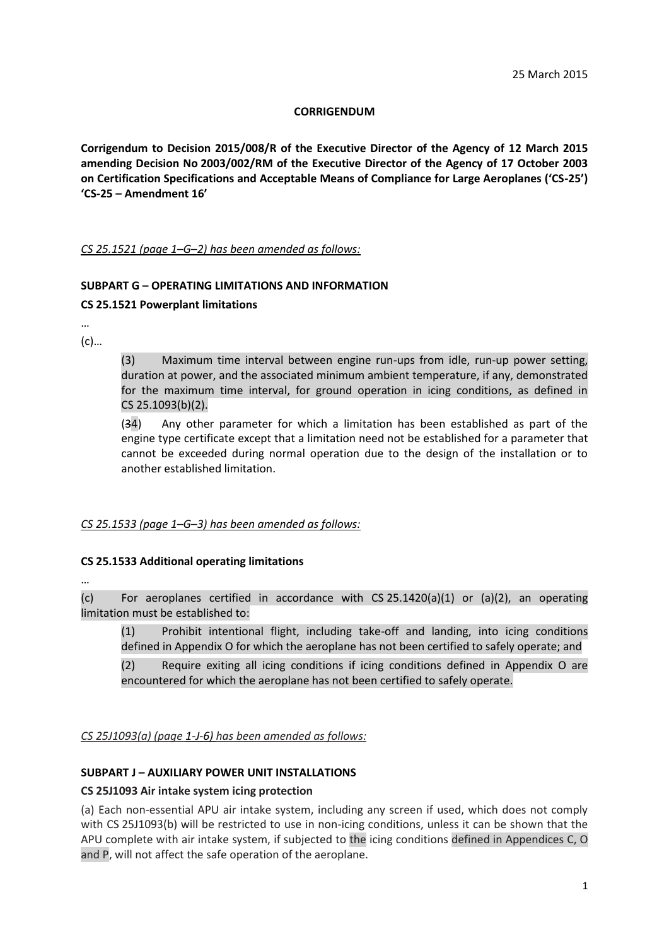# **CORRIGENDUM**

**Corrigendum to Decision 2015/008/R of the Executive Director of the Agency of 12 March 2015 amending Decision No 2003/002/RM of the Executive Director of the Agency of 17 October 2003 on Certification Specifications and Acceptable Means of Compliance for Large Aeroplanes ('CS-25') 'CS-25 – Amendment 16'**

## *CS 25.1521 (page 1–G–2) has been amended as follows:*

## **SUBPART G – OPERATING LIMITATIONS AND INFORMATION**

## **CS 25.1521 Powerplant limitations**

…

(c)…

(3) Maximum time interval between engine run-ups from idle, run-up power setting, duration at power, and the associated minimum ambient temperature, if any, demonstrated for the maximum time interval, for ground operation in icing conditions, as defined in CS 25.1093(b)(2).

(34) Any other parameter for which a limitation has been established as part of the engine type certificate except that a limitation need not be established for a parameter that cannot be exceeded during normal operation due to the design of the installation or to another established limitation.

# *CS 25.1533 (page 1–G–3) has been amended as follows:*

# **CS 25.1533 Additional operating limitations**

…

(c) For aeroplanes certified in accordance with  $CS 25.1420(a)(1)$  or  $(a)(2)$ , an operating limitation must be established to:

(1) Prohibit intentional flight, including take-off and landing, into icing conditions defined in Appendix O for which the aeroplane has not been certified to safely operate; and

(2) Require exiting all icing conditions if icing conditions defined in Appendix O are encountered for which the aeroplane has not been certified to safely operate.

# *CS 25J1093(a) (page 1-J-6) has been amended as follows:*

# **SUBPART J – AUXILIARY POWER UNIT INSTALLATIONS**

#### **CS 25J1093 Air intake system icing protection**

(a) Each non-essential APU air intake system, including any screen if used, which does not comply with CS 25J1093(b) will be restricted to use in non-icing conditions, unless it can be shown that the APU complete with air intake system, if subjected to the icing conditions defined in Appendices C, O and P, will not affect the safe operation of the aeroplane.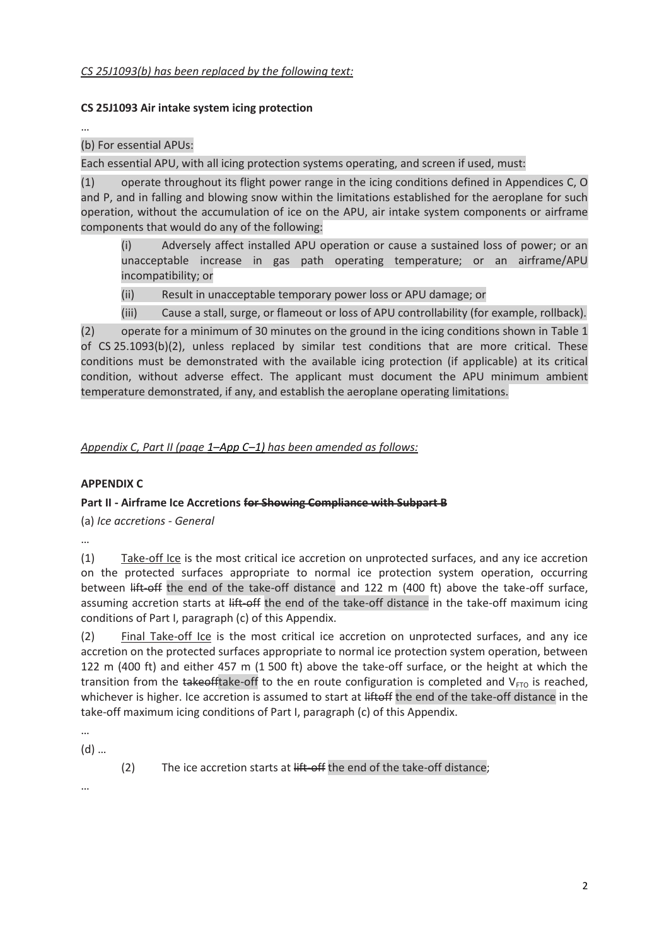## **CS 25J1093 Air intake system icing protection**

…

## (b) For essential APUs:

Each essential APU, with all icing protection systems operating, and screen if used, must:

(1) operate throughout its flight power range in the icing conditions defined in Appendices C, O and P, and in falling and blowing snow within the limitations established for the aeroplane for such operation, without the accumulation of ice on the APU, air intake system components or airframe components that would do any of the following:

Adversely affect installed APU operation or cause a sustained loss of power; or an unacceptable increase in gas path operating temperature; or an airframe/APU incompatibility; or

(ii) Result in unacceptable temporary power loss or APU damage; or

(iii) Cause a stall, surge, or flameout or loss of APU controllability (for example, rollback).

(2) operate for a minimum of 30 minutes on the ground in the icing conditions shown in Table 1 of CS 25.1093(b)(2), unless replaced by similar test conditions that are more critical. These conditions must be demonstrated with the available icing protection (if applicable) at its critical condition, without adverse effect. The applicant must document the APU minimum ambient temperature demonstrated, if any, and establish the aeroplane operating limitations.

*Appendix C, Part II (page 1–App C–1) has been amended as follows:*

# **APPENDIX C**

#### **Part II - Airframe Ice Accretions for Showing Compliance with Subpart B**

(a) *Ice accretions - General*

…

(1) Take-off Ice is the most critical ice accretion on unprotected surfaces, and any ice accretion on the protected surfaces appropriate to normal ice protection system operation, occurring between lift-off the end of the take-off distance and 122 m (400 ft) above the take-off surface, assuming accretion starts at lift-off the end of the take-off distance in the take-off maximum icing conditions of Part I, paragraph (c) of this Appendix.

(2) Final Take-off Ice is the most critical ice accretion on unprotected surfaces, and any ice accretion on the protected surfaces appropriate to normal ice protection system operation, between 122 m (400 ft) and either 457 m (1 500 ft) above the take-off surface, or the height at which the transition from the takeofftake-off to the en route configuration is completed and  $V_{FTO}$  is reached, whichever is higher. Ice accretion is assumed to start at liftoff the end of the take-off distance in the take-off maximum icing conditions of Part I, paragraph (c) of this Appendix.

…

(d) …

(2) The ice accretion starts at lift-off the end of the take-off distance;

…